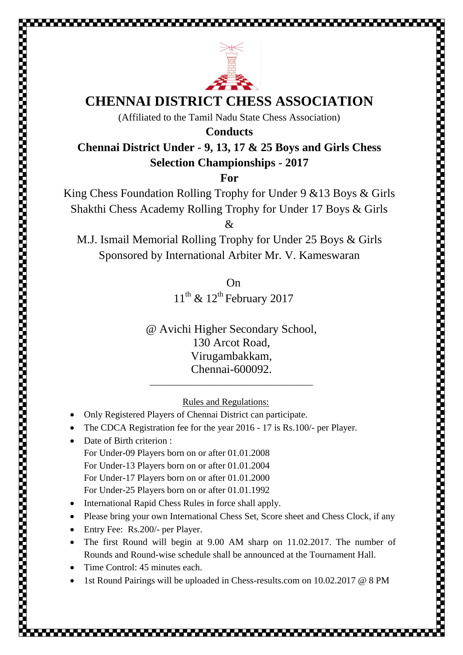



## **CHENNAI DISTRICT CHESS ASSOCIATION**

(Affiliated to the Tamil Nadu State Chess Association)

**Conducts**

## **Chennai District Under - 9, 13, 17 & 25 Boys and Girls Chess Selection Championships - 2017**

**For**

King Chess Foundation Rolling Trophy for Under 9 &13 Boys & Girls Shakthi Chess Academy Rolling Trophy for Under 17 Boys & Girls

 $\mathcal{R}$ 

M.J. Ismail Memorial Rolling Trophy for Under 25 Boys & Girls Sponsored by International Arbiter Mr. V. Kameswaran

> On  $11^{\text{th}}$  &  $12^{\text{th}}$  February 2017

@ Avichi Higher Secondary School, 130 Arcot Road, Virugambakkam, Chennai-600092.

\_\_\_\_\_\_\_\_\_\_\_\_\_\_\_\_\_\_\_\_\_\_\_\_\_\_\_\_\_\_\_\_\_\_\_

Rules and Regulations:

- Only Registered Players of Chennai District can participate.
- The CDCA Registration fee for the year 2016 17 is Rs.100/- per Player.
- Date of Birth criterion : For Under-09 Players born on or after 01.01.2008 For Under-13 Players born on or after 01.01.2004 For Under-17 Players born on or after 01.01.2000 For Under-25 Players born on or after 01.01.1992
- International Rapid Chess Rules in force shall apply.
- Please bring your own International Chess Set, Score sheet and Chess Clock, if any
- Entry Fee: Rs.200/- per Player.
- The first Round will begin at 9.00 AM sharp on 11.02.2017. The number of Rounds and Round-wise schedule shall be announced at the Tournament Hall.
- Time Control: 45 minutes each.
- 1st Round Pairings will be uploaded in Chess-results.com on 10.02.2017 @ 8 PM